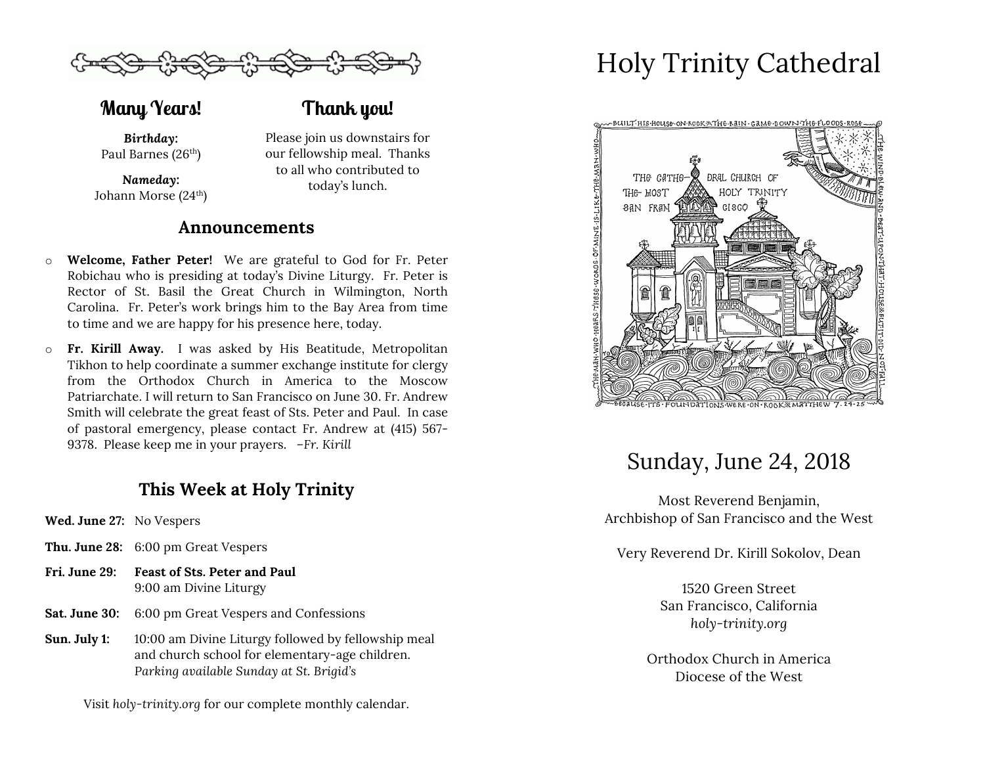

**Many Years!**

## **Thank you!**

*Birthday:* Paul Barnes (26<sup>th</sup>)

*Nameday:* Johann Morse (24th) Please join us downstairs for our fellowship meal. Thanks to all who contributed to today's lunch.

### **Announcements**

- o **Welcome, Father Peter!** We are grateful to God for Fr. Peter Robichau who is presiding at today's Divine Liturgy. Fr. Peter is Rector of St. Basil the Great Church in Wilmington, North Carolina. Fr. Peter's work brings him to the Bay Area from time to time and we are happy for his presence here, today.
- o **Fr. Kirill Away.** I was asked by His Beatitude, Metropolitan Tikhon to help coordinate a summer exchange institute for clergy from the Orthodox Church in America to the Moscow Patriarchate. I will return to San Francisco on June 30. Fr. Andrew Smith will celebrate the great feast of Sts. Peter and Paul. In case of pastoral emergency, please contact Fr. Andrew at (415) 567- 9378. Please keep me in your prayers. *–Fr. Kirill*

## **This Week at Holy Trinity**

- **Wed. June 27:** No Vespers
- **Thu. June 28:** 6:00 pm Great Vespers
- **Fri. June 29: Feast of Sts. Peter and Paul** 9:00 am Divine Liturgy
- **Sat. June 30:** 6:00 pm Great Vespers and Confessions
- **Sun. July 1:** 10:00 am Divine Liturgy followed by fellowship meal and church school for elementary-age children. *Parking available Sunday at St. Brigid's*

Visit *holy-trinity.org* for our complete monthly calendar.

# Holy Trinity Cathedral



## Sunday, June 24, 2018

Most Reverend Benjamin, Archbishop of San Francisco and the West

Very Reverend Dr. Kirill Sokolov, Dean

1520 Green Street San Francisco, California *holy-trinity.org*

Orthodox Church in America Diocese of the West